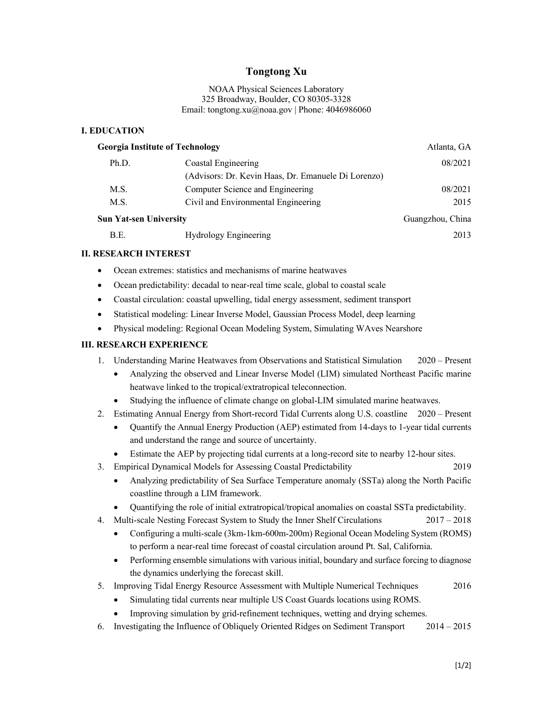# **Tongtong Xu**

### NOAA Physical Sciences Laboratory 325 Broadway, Boulder, CO 80305-3328 Email: tongtong.xu@noaa.gov | Phone: 4046986060

#### **I. EDUCATION**

| <b>Georgia Institute of Technology</b> |                                                     | Atlanta, GA      |
|----------------------------------------|-----------------------------------------------------|------------------|
| Ph.D.                                  | Coastal Engineering                                 | 08/2021          |
|                                        | (Advisors: Dr. Kevin Haas, Dr. Emanuele Di Lorenzo) |                  |
| M.S.                                   | Computer Science and Engineering                    | 08/2021          |
| M.S.                                   | Civil and Environmental Engineering                 | 2015             |
| <b>Sun Yat-sen University</b>          |                                                     | Guangzhou, China |
| B.E.                                   | Hydrology Engineering                               | 2013             |

#### **II. RESEARCH INTEREST**

- Ocean extremes: statistics and mechanisms of marine heatwaves
- Ocean predictability: decadal to near-real time scale, global to coastal scale
- Coastal circulation: coastal upwelling, tidal energy assessment, sediment transport
- Statistical modeling: Linear Inverse Model, Gaussian Process Model, deep learning
- Physical modeling: Regional Ocean Modeling System, Simulating WAves Nearshore

### **III. RESEARCH EXPERIENCE**

- 1. Understanding Marine Heatwaves from Observations and Statistical Simulation 2020 Present
	- Analyzing the observed and Linear Inverse Model (LIM) simulated Northeast Pacific marine heatwave linked to the tropical/extratropical teleconnection.
- Studying the influence of climate change on global-LIM simulated marine heatwaves.
- 2. Estimating Annual Energy from Short-record Tidal Currents along U.S. coastline 2020 Present
	- Quantify the Annual Energy Production (AEP) estimated from 14-days to 1-year tidal currents and understand the range and source of uncertainty.
	- Estimate the AEP by projecting tidal currents at a long-record site to nearby 12-hour sites.
- 3. Empirical Dynamical Models for Assessing Coastal Predictability 2019
	- Analyzing predictability of Sea Surface Temperature anomaly (SSTa) along the North Pacific coastline through a LIM framework.
	- Quantifying the role of initial extratropical/tropical anomalies on coastal SSTa predictability.
- 4. Multi-scale Nesting Forecast System to Study the Inner Shelf Circulations 2017 2018
	- Configuring a multi-scale (3km-1km-600m-200m) Regional Ocean Modeling System (ROMS) to perform a near-real time forecast of coastal circulation around Pt. Sal, California.
	- Performing ensemble simulations with various initial, boundary and surface forcing to diagnose the dynamics underlying the forecast skill.
- 5. Improving Tidal Energy Resource Assessment with Multiple Numerical Techniques 2016
	- Simulating tidal currents near multiple US Coast Guards locations using ROMS.
	- Improving simulation by grid-refinement techniques, wetting and drying schemes.
- 6. Investigating the Influence of Obliquely Oriented Ridges on Sediment Transport 2014 2015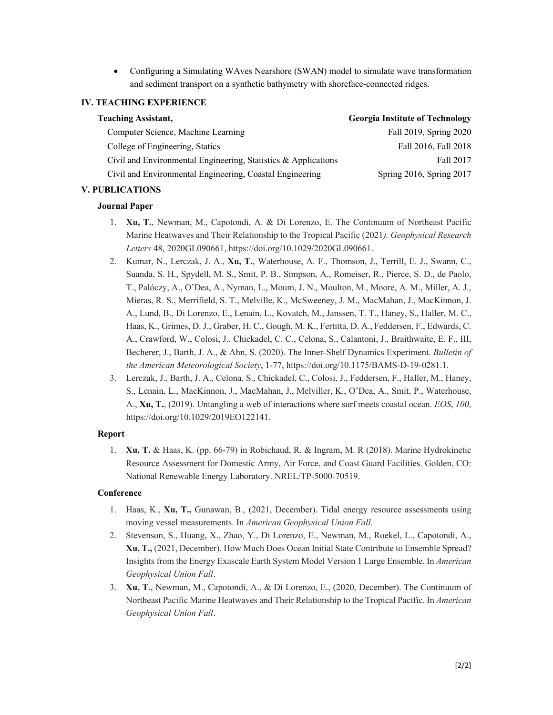• Configuring a Simulating WAves Nearshore (SWAN) model to simulate wave transformation and sediment transport on a synthetic bathymetry with shoreface-connected ridges.

## **IV. TEACHING EXPERIENCE**

| Teaching Assistant,                                            | <b>Georgia Institute of Technology</b> |
|----------------------------------------------------------------|----------------------------------------|
| Computer Science, Machine Learning                             | Fall 2019, Spring 2020                 |
| College of Engineering, Statics                                | Fall 2016, Fall 2018                   |
| Civil and Environmental Engineering, Statistics & Applications | Fall 2017                              |
| Civil and Environmental Engineering, Coastal Engineering       | Spring 2016, Spring 2017               |

# **V. PUBLICATIONS**

## **Journal Paper**

- 1. **Xu, T.**, Newman, M., Capotondi, A. & Di Lorenzo, E. The Continuum of Northeast Pacific Marine Heatwaves and Their Relationship to the Tropical Pacific (2021*). Geophysical Research Letters* 48, 2020GL090661, https://doi.org/10.1029/2020GL090661.
- 2. Kumar, N., Lerczak, J. A., **Xu, T.**, Waterhouse, A. F., Thomson, J., Terrill, E. J., Swann, C., Suanda, S. H., Spydell, M. S., Smit, P. B., Simpson, A., Romeiser, R., Pierce, S. D., de Paolo, T., Palóczy, A., O'Dea, A., Nyman, L., Moum, J. N., Moulton, M., Moore, A. M., Miller, A. J., Mieras, R. S., Merrifield, S. T., Melville, K., McSweeney, J. M., MacMahan, J., MacKinnon, J. A., Lund, B., Di Lorenzo, E., Lenain, L., Kovatch, M., Janssen, T. T., Haney, S., Haller, M. C., Haas, K., Grimes, D. J., Graber, H. C., Gough, M. K., Fertitta, D. A., Feddersen, F., Edwards, C. A., Crawford, W., Colosi, J., Chickadel, C. C., Celona, S., Calantoni, J., Braithwaite, E. F., III, Becherer, J., Barth, J. A., & Ahn, S. (2020). The Inner-Shelf Dynamics Experiment. *Bulletin of the American Meteorological Society*, 1-77, https://doi.org/10.1175/BAMS-D-19-0281.1.
- 3. Lerczak, J., Barth, J. A., Celona, S., Chickadel, C., Colosi, J., Feddersen, F., Haller, M., Haney, S., Lenain, L., MacKinnon, J., MacMahan, J., Melviller, K., O'Dea, A., Smit, P., Waterhouse, A., **Xu, T.**, (2019). Untangling a web of interactions where surf meets coastal ocean. *EOS*, *100*, https://doi.org/10.1029/2019EO122141.

## **Report**

1. **Xu, T.** & Haas, K. (pp. 66-79) in Robichaud, R. & Ingram, M. R (2018). Marine Hydrokinetic Resource Assessment for Domestic Army, Air Force, and Coast Guard Facilities. Golden, CO: National Renewable Energy Laboratory. NREL/TP-5000-70519.

# **Conference**

- 1. Haas, K., **Xu, T.,** Gunawan, B., (2021, December). Tidal energy resource assessments using moving vessel measurements. In *American Geophysical Union Fall*.
- 2. Stevenson, S., Huang, X., Zhao, Y., Di Lorenzo, E., Newman, M., Roekel, L., Capotondi, A., **Xu, T.,** (2021, December). How Much Does Ocean Initial State Contribute to Ensemble Spread? Insights from the Energy Exascale Earth System Model Version 1 Large Ensemble. In *American Geophysical Union Fall*.
- 3. **Xu, T.**, Newman, M., Capotondi, A., & Di Lorenzo, E., (2020, December). The Continuum of Northeast Pacific Marine Heatwaves and Their Relationship to the Tropical Pacific. In *American Geophysical Union Fall*.